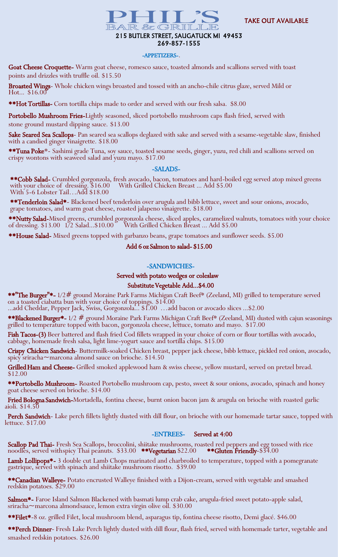

# 215 BUTLER STREET, SAUGATUCK MI 49453 269-857-1555

#### -APPETIZERS-.

Goat Cheese Croquette- Warm goat cheese, romesco sauce, toasted almonds and scallions served with toast points and drizzles with truffle oil. \$15.50

Broasted Wings- Whole chicken wings broasted and tossed with an ancho-chile citrus glaze, served Mild or Hot... \$16.00

**\*\*Hot Tortillas-** Corn tortilla chips made to order and served with our fresh salsa.  $$8.00$ 

Portobello Mushroom Fries-Lightly seasoned, sliced portobello mushroom caps flash fried, served with stone ground mustard dipping sauce. \$13.00

Sake Seared Sea Scallops- Pan seared sea scallops deglazed with sake and served with a sesame-vegetable slaw, finished with a candied ginger vinaigrette. \$18.00

\*\*Tuna Poke\*- Sashimi grade Tuna, soy sauce, toasted sesame seeds, ginger, yuzu, red chili and scallions served on crispy wontons with seaweed salad and yuzu mayo. \$17.00

#### -SALADS-

\*\*Cobb Salad- Crumbled gorgonzola, fresh avocado, bacon, tomatoes and hard-boiled egg served atop mixed greens with your choice of dressing. \$16.00 With Grilled Chicken Breast ... Add \$5.00 With 5-6 Lobster Tail…Add \$18.00

\*\*Tenderloin Salad\*- Blackened beef tenderloin over arugula and bibb lettuce, sweet and sour onions, avocado, grape tomatoes, and warm goat cheese, roasted jalapeno vinaigrette. \$18.00

\*\*Nutty Salad-Mixed greens, crumbled gorgonzola cheese, sliced apples, caramelized walnuts, tomatoes with your choice of dressing. \$13.00 172 Salad...\$10.00 With Grilled Chicken Breast ... Add \$5.00

\*\*House Salad- Mixed greens topped with garbanzo beans, grape tomatoes and sunflower seeds. \$5.00

## Add 6 oz Salmon to salad- \$15.00

### -SANDWICHES-

#### Served with potato wedges or coleslaw

### Substitute Vegetable Add...\$4.00

\*\*"The Burger"\*- 1/2# ground Moraine Park Farms Michigan Craft Beef\* (Zeeland, MI) grilled to temperature served on a toasted ciabatta bun with your choice of toppings.  $$14.00$ 

...add Cheddar, Pepper Jack, Swiss, Gorgonzola... \$1.00 …add bacon or avocado slices ...\$2.00

\*\*Blackened Burger\*- 1/2 # ground Moraine Park Farms Michigan Craft Beef\* (Zeeland, MI) dusted with cajun seasonings grilled to temperature topped with bacon, gorgonzola cheese, lettuce, tomato and mayo. \$17.00

Fish Tacos-(3) Beer battered and flash fried Cod fillets wrapped in your choice of corn or flour tortillas with avocado, cabbage, homemade fresh salsa, light lime-yogurt sauce and tortilla chips. \$15.00

Crispy Chicken Sandwich- Buttermilk-soaked Chicken breast, pepper jack cheese, bibb lettuce, pickled red onion, avocado, spicy sriracha~marcona almond sauce on brioche. \$14.50

Grilled Ham and Cheese- Grilled smoked applewood ham & swiss cheese, yellow mustard, served on pretzel bread. \$12.00

\*\*Portobello Mushroom- Roasted Portobello mushroom cap, pesto, sweet & sour onions, avocado, spinach and honey goat cheese served on brioche. \$14.00

Fried Bologna Sandwich-Mortadella, fontina cheese, burnt onion bacon jam & arugula on brioche with roasted garlic aioli. \$14.50

Perch Sandwich- Lake perch fillets lightly dusted with dill flour, on brioche with our homemade tartar sauce, topped with lettuce. \$17.00

### -ENTREES- Served at 4:00

Scallop Pad Thai- Fresh Sea Scallops, broccolini, shiitake mushrooms, roasted red peppers and egg tossed with rice noodles, served withspicy Thai peanuts. \$33.00 \*\*Vegetarian \$22.00 \*\*Gluten Friendly-\$34.00

Lamb Lollipops<sup>\*</sup>- 3 double cut Lamb Chops marinated and charbroiled to temperature, topped with a pomegranate gastrique, served with spinach and shiitake mushroom risotto. \$39.00

\*\*Canadian Walleye- Potato encrusted Walleye finished with a Dijon-cream, served with vegetable and smashed redskin potatoes. \$29.00

Salmon\*- Faroe Island Salmon Blackened with basmati lump crab cake, arugula-fried sweet potato-apple salad, sriracha~marcona almondsauce, lemon extra virgin olive oil. \$30.00

\*\*Filet\*-8 oz. grilled Filet, local mushroom blend, asparagus tip, fontina cheese risotto, Demi glacé. \$46.00

\*\*Perch Dinner- Fresh Lake Perch lightly dusted with dill flour, flash fried, served with homemade tarter, vegetable and smashed redskin potatoes. \$26.00